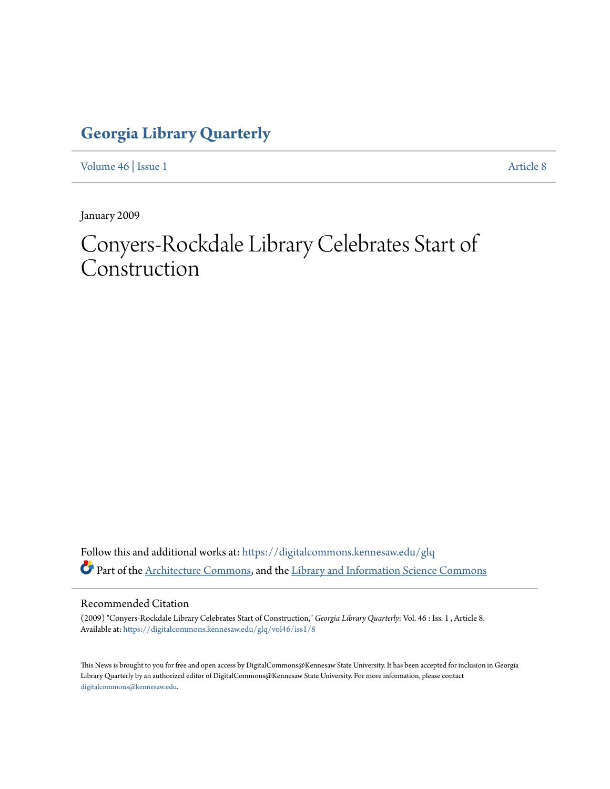### **[Georgia Library Quarterly](https://digitalcommons.kennesaw.edu/glq?utm_source=digitalcommons.kennesaw.edu%2Fglq%2Fvol46%2Fiss1%2F8&utm_medium=PDF&utm_campaign=PDFCoverPages)**

[Volume 46](https://digitalcommons.kennesaw.edu/glq/vol46?utm_source=digitalcommons.kennesaw.edu%2Fglq%2Fvol46%2Fiss1%2F8&utm_medium=PDF&utm_campaign=PDFCoverPages) | [Issue 1](https://digitalcommons.kennesaw.edu/glq/vol46/iss1?utm_source=digitalcommons.kennesaw.edu%2Fglq%2Fvol46%2Fiss1%2F8&utm_medium=PDF&utm_campaign=PDFCoverPages) [Article 8](https://digitalcommons.kennesaw.edu/glq/vol46/iss1/8?utm_source=digitalcommons.kennesaw.edu%2Fglq%2Fvol46%2Fiss1%2F8&utm_medium=PDF&utm_campaign=PDFCoverPages)

January 2009

## Conyers-Rockdale Library Celebrates Start of Construction

Follow this and additional works at: [https://digitalcommons.kennesaw.edu/glq](https://digitalcommons.kennesaw.edu/glq?utm_source=digitalcommons.kennesaw.edu%2Fglq%2Fvol46%2Fiss1%2F8&utm_medium=PDF&utm_campaign=PDFCoverPages) Part of the [Architecture Commons](http://network.bepress.com/hgg/discipline/773?utm_source=digitalcommons.kennesaw.edu%2Fglq%2Fvol46%2Fiss1%2F8&utm_medium=PDF&utm_campaign=PDFCoverPages), and the [Library and Information Science Commons](http://network.bepress.com/hgg/discipline/1018?utm_source=digitalcommons.kennesaw.edu%2Fglq%2Fvol46%2Fiss1%2F8&utm_medium=PDF&utm_campaign=PDFCoverPages)

#### Recommended Citation

(2009) "Conyers-Rockdale Library Celebrates Start of Construction," *Georgia Library Quarterly*: Vol. 46 : Iss. 1 , Article 8. Available at: [https://digitalcommons.kennesaw.edu/glq/vol46/iss1/8](https://digitalcommons.kennesaw.edu/glq/vol46/iss1/8?utm_source=digitalcommons.kennesaw.edu%2Fglq%2Fvol46%2Fiss1%2F8&utm_medium=PDF&utm_campaign=PDFCoverPages)

This News is brought to you for free and open access by DigitalCommons@Kennesaw State University. It has been accepted for inclusion in Georgia Library Quarterly by an authorized editor of DigitalCommons@Kennesaw State University. For more information, please contact [digitalcommons@kennesaw.edu.](mailto:digitalcommons@kennesaw.edu)